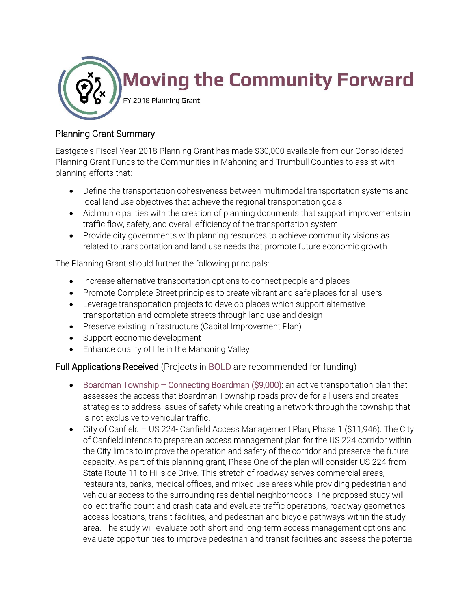

## Planning Grant Summary

Eastgate's Fiscal Year 2018 Planning Grant has made \$30,000 available from our Consolidated Planning Grant Funds to the Communities in Mahoning and Trumbull Counties to assist with planning efforts that:

- Define the transportation cohesiveness between multimodal transportation systems and local land use objectives that achieve the regional transportation goals
- Aid municipalities with the creation of planning documents that support improvements in traffic flow, safety, and overall efficiency of the transportation system
- Provide city governments with planning resources to achieve community visions as related to transportation and land use needs that promote future economic growth

The Planning Grant should further the following principals:

- Increase alternative transportation options to connect people and places
- Promote Complete Street principles to create vibrant and safe places for all users
- Leverage transportation projects to develop places which support alternative transportation and complete streets through land use and design
- Preserve existing infrastructure (Capital Improvement Plan)
- Support economic development
- Enhance quality of life in the Mahoning Valley

## Full Applications Received (Projects in BOLD are recommended for funding)

- Boardman Township Connecting Boardman (\$9,000): an active transportation plan that assesses the access that Boardman Township roads provide for all users and creates strategies to address issues of safety while creating a network through the township that is not exclusive to vehicular traffic.
- City of Canfield US 224- Canfield Access Management Plan, Phase 1 (\$11,946): The City of Canfield intends to prepare an access management plan for the US 224 corridor within the City limits to improve the operation and safety of the corridor and preserve the future capacity. As part of this planning grant, Phase One of the plan will consider US 224 from State Route 11 to Hillside Drive. This stretch of roadway serves commercial areas, restaurants, banks, medical offices, and mixed-use areas while providing pedestrian and vehicular access to the surrounding residential neighborhoods. The proposed study will collect traffic count and crash data and evaluate traffic operations, roadway geometrics, access locations, transit facilities, and pedestrian and bicycle pathways within the study area. The study will evaluate both short and long-term access management options and evaluate opportunities to improve pedestrian and transit facilities and assess the potential